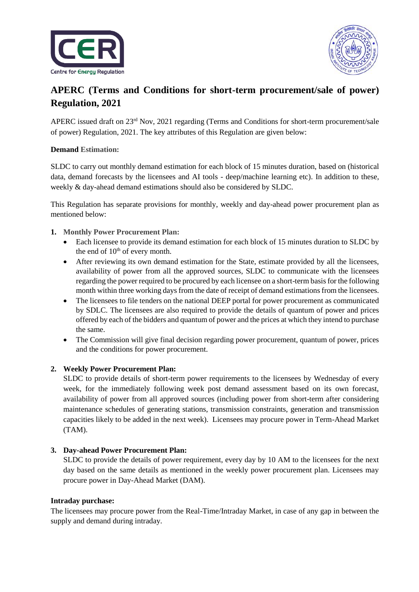



# **APERC (Terms and Conditions for short-term procurement/sale of power) Regulation, 2021**

APERC issued draft on  $23<sup>rd</sup>$  Nov, 2021 regarding (Terms and Conditions for short-term procurement/sale of power) Regulation, 2021. The key attributes of this Regulation are given below:

### **Demand Estimation:**

SLDC to carry out monthly demand estimation for each block of 15 minutes duration, based on (historical data, demand forecasts by the licensees and AI tools - deep/machine learning etc). In addition to these, weekly & day-ahead demand estimations should also be considered by SLDC.

This Regulation has separate provisions for monthly, weekly and day-ahead power procurement plan as mentioned below:

## **1. Monthly Power Procurement Plan:**

- Each licensee to provide its demand estimation for each block of 15 minutes duration to SLDC by the end of  $10<sup>th</sup>$  of every month.
- After reviewing its own demand estimation for the State, estimate provided by all the licensees, availability of power from all the approved sources, SLDC to communicate with the licensees regarding the power required to be procured by each licensee on a short-term basis for the following month within three working days from the date of receipt of demand estimations from the licensees.
- The licensees to file tenders on the national DEEP portal for power procurement as communicated by SDLC. The licensees are also required to provide the details of quantum of power and prices offered by each of the bidders and quantum of power and the prices at which they intend to purchase the same.
- The Commission will give final decision regarding power procurement, quantum of power, prices and the conditions for power procurement.

### **2. Weekly Power Procurement Plan:**

SLDC to provide details of short-term power requirements to the licensees by Wednesday of every week, for the immediately following week post demand assessment based on its own forecast, availability of power from all approved sources (including power from short-term after considering maintenance schedules of generating stations, transmission constraints, generation and transmission capacities likely to be added in the next week). Licensees may procure power in Term-Ahead Market (TAM).

### **3. Day-ahead Power Procurement Plan:**

SLDC to provide the details of power requirement, every day by 10 AM to the licensees for the next day based on the same details as mentioned in the weekly power procurement plan. Licensees may procure power in Day-Ahead Market (DAM).

### **Intraday purchase:**

The licensees may procure power from the Real-Time/Intraday Market, in case of any gap in between the supply and demand during intraday.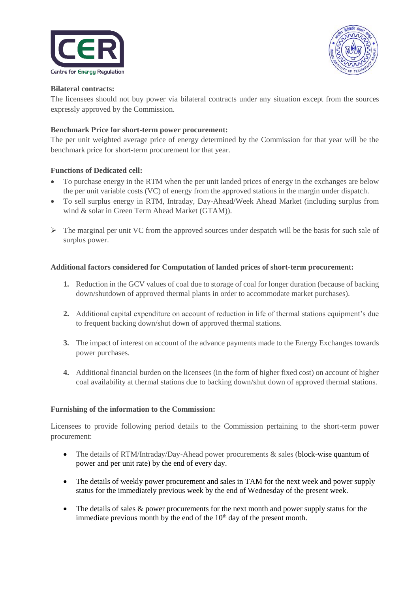



#### **Bilateral contracts:**

The licensees should not buy power via bilateral contracts under any situation except from the sources expressly approved by the Commission.

### **Benchmark Price for short-term power procurement:**

The per unit weighted average price of energy determined by the Commission for that year will be the benchmark price for short-term procurement for that year.

### **Functions of Dedicated cell:**

- To purchase energy in the RTM when the per unit landed prices of energy in the exchanges are below the per unit variable costs (VC) of energy from the approved stations in the margin under dispatch.
- To sell surplus energy in RTM, Intraday, Day-Ahead/Week Ahead Market (including surplus from wind & solar in Green Term Ahead Market (GTAM)).
- $\triangleright$  The marginal per unit VC from the approved sources under despatch will be the basis for such sale of surplus power.

#### **Additional factors considered for Computation of landed prices of short-term procurement:**

- **1.** Reduction in the GCV values of coal due to storage of coal for longer duration (because of backing down/shutdown of approved thermal plants in order to accommodate market purchases).
- **2.** Additional capital expenditure on account of reduction in life of thermal stations equipment's due to frequent backing down/shut down of approved thermal stations.
- **3.** The impact of interest on account of the advance payments made to the Energy Exchanges towards power purchases.
- **4.** Additional financial burden on the licensees (in the form of higher fixed cost) on account of higher coal availability at thermal stations due to backing down/shut down of approved thermal stations.

#### **Furnishing of the information to the Commission:**

Licensees to provide following period details to the Commission pertaining to the short-term power procurement:

- The details of RTM/Intraday/Day-Ahead power procurements & sales (block-wise quantum of power and per unit rate) by the end of every day.
- The details of weekly power procurement and sales in TAM for the next week and power supply status for the immediately previous week by the end of Wednesday of the present week.
- The details of sales  $\&$  power procurements for the next month and power supply status for the immediate previous month by the end of the  $10<sup>th</sup>$  day of the present month.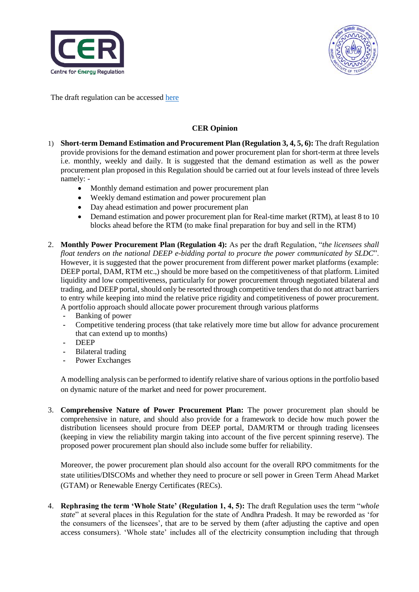



The draft regulation can be accessed [here](https://cer.iitk.ac.in/odf_assets/upload_files/Draft_APERC_Terms_and_Conditions_for_short_term_procurement_sale_of_power_Regulation_2021.pdf)

## **CER Opinion**

- 1) **Short-term Demand Estimation and Procurement Plan (Regulation 3, 4, 5, 6):** The draft Regulation provide provisions for the demand estimation and power procurement plan for short-term at three levels i.e. monthly, weekly and daily. It is suggested that the demand estimation as well as the power procurement plan proposed in this Regulation should be carried out at four levels instead of three levels namely: -
	- Monthly demand estimation and power procurement plan
	- Weekly demand estimation and power procurement plan
	- Day ahead estimation and power procurement plan
	- Demand estimation and power procurement plan for Real-time market (RTM), at least 8 to 10 blocks ahead before the RTM (to make final preparation for buy and sell in the RTM)
- 2. **Monthly Power Procurement Plan (Regulation 4):** As per the draft Regulation, "*the licensees shall float tenders on the national DEEP e-bidding portal to procure the power communicated by SLDC*". However, it is suggested that the power procurement from different power market platforms (example: DEEP portal, DAM, RTM etc.,) should be more based on the competitiveness of that platform. Limited liquidity and low competitiveness, particularly for power procurement through negotiated bilateral and trading, and DEEP portal, should only be resorted through competitive tenders that do not attract barriers to entry while keeping into mind the relative price rigidity and competitiveness of power procurement. A portfolio approach should allocate power procurement through various platforms
	- **-** Banking of power
	- **-** Competitive tendering process (that take relatively more time but allow for advance procurement that can extend up to months)
	- **-** DEEP
	- **-** Bilateral trading
	- **-** Power Exchanges

A modelling analysis can be performed to identify relative share of various options in the portfolio based on dynamic nature of the market and need for power procurement.

3. **Comprehensive Nature of Power Procurement Plan:** The power procurement plan should be comprehensive in nature, and should also provide for a framework to decide how much power the distribution licensees should procure from DEEP portal, DAM/RTM or through trading licensees (keeping in view the reliability margin taking into account of the five percent spinning reserve). The proposed power procurement plan should also include some buffer for reliability.

Moreover, the power procurement plan should also account for the overall RPO commitments for the state utilities/DISCOMs and whether they need to procure or sell power in Green Term Ahead Market (GTAM) or Renewable Energy Certificates (RECs).

4. **Rephrasing the term 'Whole State' (Regulation 1, 4, 5):** The draft Regulation uses the term "*whole state*" at several places in this Regulation for the state of Andhra Pradesh. It may be reworded as 'for the consumers of the licensees', that are to be served by them (after adjusting the captive and open access consumers). 'Whole state' includes all of the electricity consumption including that through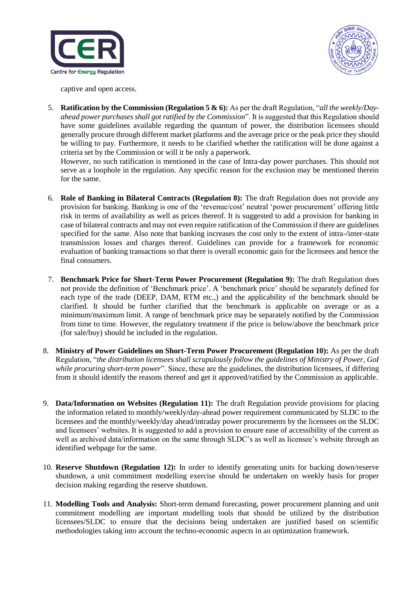



captive and open access.

5. **Ratification by the Commission (Regulation 5 & 6):** As per the draft Regulation, "*all the weekly/Dayahead power purchases shall got ratified by the Commission*". It is suggested that this Regulation should have some guidelines available regarding the quantum of power, the distribution licensees should generally procure through different market platforms and the average price or the peak price they should be willing to pay. Furthermore, it needs to be clarified whether the ratification will be done against a criteria set by the Commission or will it be only a paperwork.

However, no such ratification is mentioned in the case of Intra-day power purchases. This should not serve as a loophole in the regulation. Any specific reason for the exclusion may be mentioned therein for the same.

- 6. **Role of Banking in Bilateral Contracts (Regulation 8):** The draft Regulation does not provide any provision for banking. Banking is one of the 'revenue/cost' neutral 'power procurement' offering little risk in terms of availability as well as prices thereof. It is suggested to add a provision for banking in case of bilateral contracts and may not even require ratification of the Commission if there are guidelines specified for the same. Also note that banking increases the cost only to the extent of intra-/inter-state transmission losses and charges thereof. Guidelines can provide for a framework for economic evaluation of banking transactions so that there is overall economic gain for the licensees and hence the final consumers.
- 7. **Benchmark Price for Short-Term Power Procurement (Regulation 9):** The draft Regulation does not provide the definition of 'Benchmark price'. A 'benchmark price' should be separately defined for each type of the trade (DEEP, DAM, RTM etc.,) and the applicability of the benchmark should be clarified. It should be further clarified that the benchmark is applicable on average or as a minimum/maximum limit. A range of benchmark price may be separately notified by the Commission from time to time. However, the regulatory treatment if the price is below/above the benchmark price (for sale/buy) should be included in the regulation.
- 8. **Ministry of Power Guidelines on Short-Term Power Procurement (Regulation 10):** As per the draft Regulation, "*the distribution licensees shall scrupulously follow the guidelines of Ministry of Power, GoI while procuring short-term power*". Since, these are the guidelines, the distribution licensees, if differing from it should identify the reasons thereof and get it approved/ratified by the Commission as applicable.
- 9. **Data/Information on Websites (Regulation 11):** The draft Regulation provide provisions for placing the information related to monthly/weekly/day-ahead power requirement communicated by SLDC to the licensees and the monthly/weekly/day ahead/intraday power procurements by the licensees on the SLDC and licensees' websites. It is suggested to add a provision to ensure ease of accessibility of the current as well as archived data/information on the same through SLDC's as well as licensee's website through an identified webpage for the same.
- 10. **Reserve Shutdown (Regulation 12):** In order to identify generating units for backing down/reserve shutdown, a unit commitment modelling exercise should be undertaken on weekly basis for proper decision making regarding the reserve shutdown.
- 11. **Modelling Tools and Analysis:** Short-term demand forecasting, power procurement planning and unit commitment modelling are important modelling tools that should be utilized by the distribution licensees/SLDC to ensure that the decisions being undertaken are justified based on scientific methodologies taking into account the techno-economic aspects in an optimization framework.